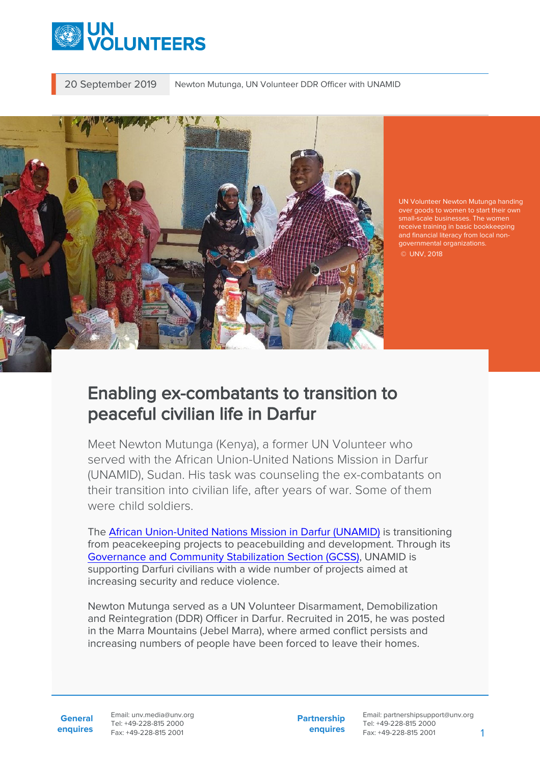

20 September 2019 Newton Mutunga, UN Volunteer DDR Officer with UNAMID



UN Volunteer Newton Mutunga handing small-scale businesses. The women receive training in basic bookkeeping governmental organizations. © UNV, 2018

## Enabling ex-combatants to transition to peaceful civilian life in Darfur

Meet Newton Mutunga (Kenya), a former UN Volunteer who served with the African Union-United Nations Mission in Darfur (UNAMID), Sudan. His task was counseling the ex-combatants on their transition into civilian life, after years of war. Some of them were child soldiers.

The [African Union-United Nations Mission in Darfur \(UNAMID\)](https://unamid.unmissions.org/about-unamid-0) is transitioning from peacekeeping projects to peacebuilding and development. Through its [Governance and Community Stabilization Section \(GCSS\),](https://unamid.unmissions.org/gcss) UNAMID is supporting Darfuri civilians with a wide number of projects aimed at increasing security and reduce violence.

Newton Mutunga served as a UN Volunteer Disarmament, Demobilization and Reintegration (DDR) Officer in Darfur. Recruited in 2015, he was posted in the Marra Mountains (Jebel Marra), where armed conflict persists and increasing numbers of people have been forced to leave their homes.

**General enquires** Email: unv.media@unv.org Tel: +49-228-815 2000 Fax: +49-228-815 2001

**Partnership enquires**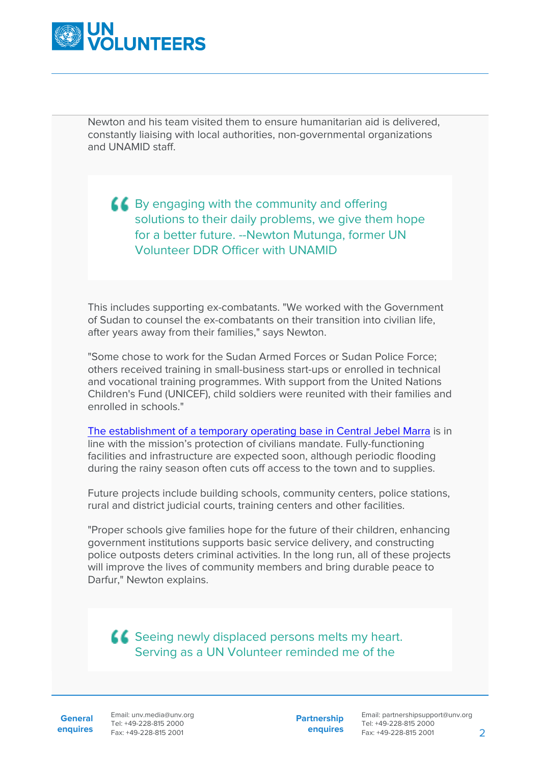

Newton and his team visited them to ensure humanitarian aid is delivered, constantly liaising with local authorities, non-governmental organizations and UNAMID staff.

 $\triangle$  By engaging with the community and offering solutions to their daily problems, we give them hope for a better future. --Newton Mutunga, former UN Volunteer DDR Officer with UNAMID

This includes supporting ex-combatants. "We worked with the Government of Sudan to counsel the ex-combatants on their transition into civilian life, after years away from their families," says Newton.

"Some chose to work for the Sudan Armed Forces or Sudan Police Force; others received training in small-business start-ups or enrolled in technical and vocational training programmes. With support from the United Nations Children's Fund (UNICEF), child soldiers were reunited with their families and enrolled in schools."

[The establishment of a temporary operating base in Central Jebel Marra](https://unamid.unmissions.org/government-sudan-hands-over-land-establishment-unamid-temporary-operating-base-golo-central-darfur) is in line with the mission's protection of civilians mandate. Fully-functioning facilities and infrastructure are expected soon, although periodic flooding during the rainy season often cuts off access to the town and to supplies.

Future projects include building schools, community centers, police stations, rural and district judicial courts, training centers and other facilities.

"Proper schools give families hope for the future of their children, enhancing government institutions supports basic service delivery, and constructing police outposts deters criminal activities. In the long run, all of these projects will improve the lives of community members and bring durable peace to Darfur," Newton explains.

**LL** Seeing newly displaced persons melts my heart. Serving as a UN Volunteer reminded me of the

**General**

**enquires** Tel: +49-228-815 2000 Fax: +49-228-815 2001 Email: unv.media@unv.org<br>Tel: +49-228-815 2000

**Partnership enquires**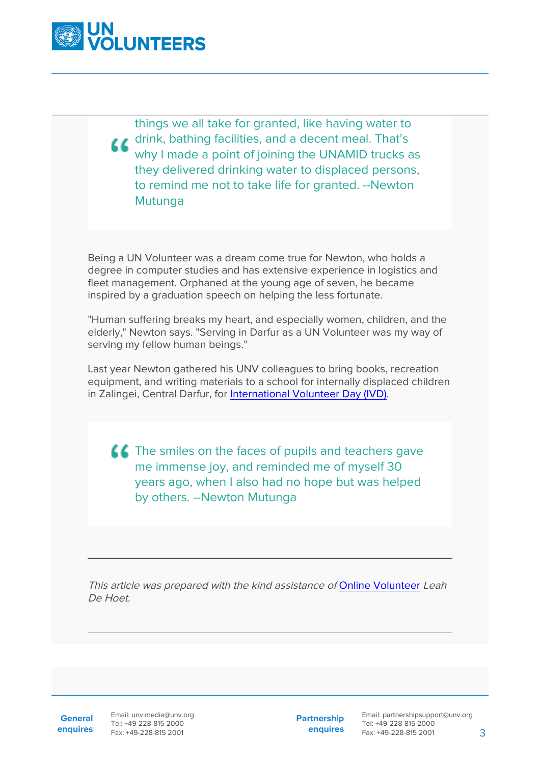

things we all take for granted, like having water to drink, bathing facilities, and a decent meal. That's why I made a point of joining the UNAMID trucks as they delivered drinking water to displaced persons, to remind me not to take life for granted. --Newton Mutunga

Being a UN Volunteer was a dream come true for Newton, who holds a degree in computer studies and has extensive experience in logistics and fleet management. Orphaned at the young age of seven, he became inspired by a graduation speech on helping the less fortunate.

"Human suffering breaks my heart, and especially women, children, and the elderly," Newton says. "Serving in Darfur as a UN Volunteer was my way of serving my fellow human beings."

Last year Newton gathered his UNV colleagues to bring books, recreation equipment, and writing materials to a school for internally displaced children in Zalingei, Central Darfur, for [International Volunteer Day \(IVD\)](https://www.unv.org/internationalvolunteerday2017).

**The smiles on the faces of pupils and teachers gave** me immense joy, and reminded me of myself 30 years ago, when I also had no hope but was helped by others. --Newton Mutunga

This article was prepared with the kind assistance of [Online Volunteer](https://www.onlinevolunteering.org/en) Leah De Hoet.

**General**

**enquires** Fax: +49-228-815 2001 Email: unv.media@unv.org Tel: +49-228-815 2000

**Partnership enquires**